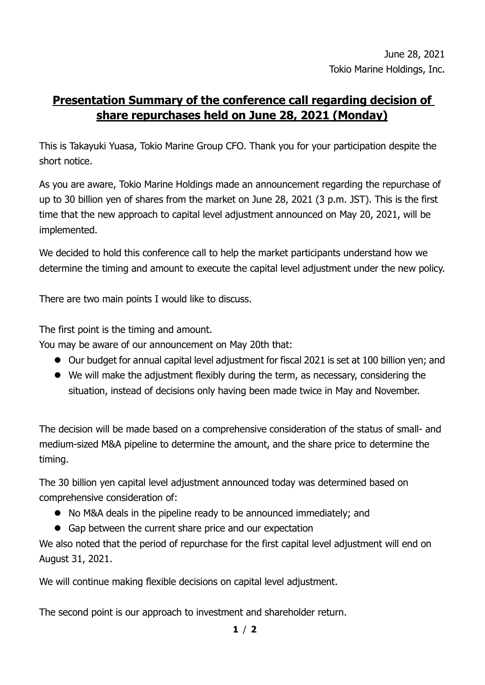## **Presentation Summary of the conference call regarding decision of share repurchases held on June 28, 2021 (Monday)**

This is Takayuki Yuasa, Tokio Marine Group CFO. Thank you for your participation despite the short notice.

As you are aware, Tokio Marine Holdings made an announcement regarding the repurchase of up to 30 billion yen of shares from the market on June 28, 2021 (3 p.m. JST). This is the first time that the new approach to capital level adjustment announced on May 20, 2021, will be implemented.

We decided to hold this conference call to help the market participants understand how we determine the timing and amount to execute the capital level adjustment under the new policy.

There are two main points I would like to discuss.

The first point is the timing and amount.

You may be aware of our announcement on May 20th that:

- Our budget for annual capital level adjustment for fiscal 2021 is set at 100 billion yen; and
- We will make the adjustment flexibly during the term, as necessary, considering the situation, instead of decisions only having been made twice in May and November.

The decision will be made based on a comprehensive consideration of the status of small- and medium-sized M&A pipeline to determine the amount, and the share price to determine the timing.

The 30 billion yen capital level adjustment announced today was determined based on comprehensive consideration of:

- No M&A deals in the pipeline ready to be announced immediately; and
- Gap between the current share price and our expectation

We also noted that the period of repurchase for the first capital level adjustment will end on August 31, 2021.

We will continue making flexible decisions on capital level adjustment.

The second point is our approach to investment and shareholder return.